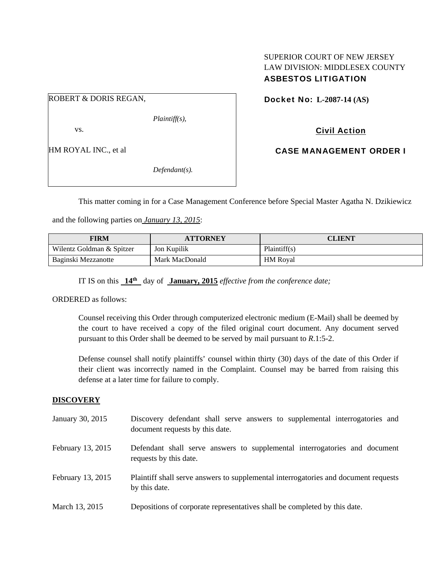## SUPERIOR COURT OF NEW JERSEY LAW DIVISION: MIDDLESEX COUNTY ASBESTOS LITIGATION

ROBERT & DORIS REGAN,

*Plaintiff(s),* 

vs.

HM ROYAL INC., et al

*Defendant(s).* 

Docket No: **L-2087-14 (AS)** 

Civil Action

CASE MANAGEMENT ORDER I

This matter coming in for a Case Management Conference before Special Master Agatha N. Dzikiewicz

and the following parties on *January 13, 2015*:

| FIRM                      | <b>ATTORNEY</b> | <b>CLIENT</b>   |
|---------------------------|-----------------|-----------------|
| Wilentz Goldman & Spitzer | Jon Kupilik     | Plaintiff(s)    |
| Baginski Mezzanotte       | Mark MacDonald  | <b>HM</b> Roval |

IT IS on this **14th** day of **January, 2015** *effective from the conference date;*

ORDERED as follows:

Counsel receiving this Order through computerized electronic medium (E-Mail) shall be deemed by the court to have received a copy of the filed original court document. Any document served pursuant to this Order shall be deemed to be served by mail pursuant to *R*.1:5-2.

Defense counsel shall notify plaintiffs' counsel within thirty (30) days of the date of this Order if their client was incorrectly named in the Complaint. Counsel may be barred from raising this defense at a later time for failure to comply.

## **DISCOVERY**

January 30, 2015 Discovery defendant shall serve answers to supplemental interrogatories and document requests by this date. February 13, 2015 Defendant shall serve answers to supplemental interrogatories and document requests by this date. February 13, 2015 Plaintiff shall serve answers to supplemental interrogatories and document requests by this date. March 13, 2015 Depositions of corporate representatives shall be completed by this date.